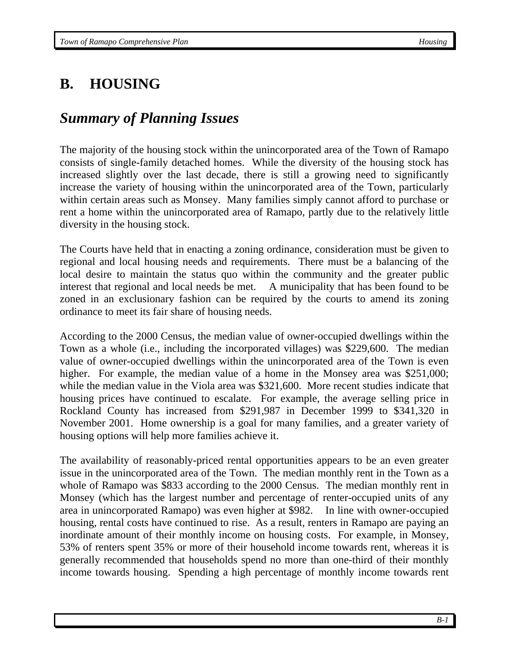# **B. HOUSING**

# *Summary of Planning Issues*

The majority of the housing stock within the unincorporated area of the Town of Ramapo consists of single-family detached homes. While the diversity of the housing stock has increased slightly over the last decade, there is still a growing need to significantly increase the variety of housing within the unincorporated area of the Town, particularly within certain areas such as Monsey. Many families simply cannot afford to purchase or rent a home within the unincorporated area of Ramapo, partly due to the relatively little diversity in the housing stock.

The Courts have held that in enacting a zoning ordinance, consideration must be given to regional and local housing needs and requirements. There must be a balancing of the local desire to maintain the status quo within the community and the greater public interest that regional and local needs be met. A municipality that has been found to be zoned in an exclusionary fashion can be required by the courts to amend its zoning ordinance to meet its fair share of housing needs.

According to the 2000 Census, the median value of owner-occupied dwellings within the Town as a whole (i.e., including the incorporated villages) was \$229,600. The median value of owner-occupied dwellings within the unincorporated area of the Town is even higher. For example, the median value of a home in the Monsey area was \$251,000; while the median value in the Viola area was \$321,600. More recent studies indicate that housing prices have continued to escalate. For example, the average selling price in Rockland County has increased from \$291,987 in December 1999 to \$341,320 in November 2001. Home ownership is a goal for many families, and a greater variety of housing options will help more families achieve it.

The availability of reasonably-priced rental opportunities appears to be an even greater issue in the unincorporated area of the Town. The median monthly rent in the Town as a whole of Ramapo was \$833 according to the 2000 Census. The median monthly rent in Monsey (which has the largest number and percentage of renter-occupied units of any area in unincorporated Ramapo) was even higher at \$982. In line with owner-occupied housing, rental costs have continued to rise. As a result, renters in Ramapo are paying an inordinate amount of their monthly income on housing costs. For example, in Monsey, 53% of renters spent 35% or more of their household income towards rent, whereas it is generally recommended that households spend no more than one-third of their monthly income towards housing. Spending a high percentage of monthly income towards rent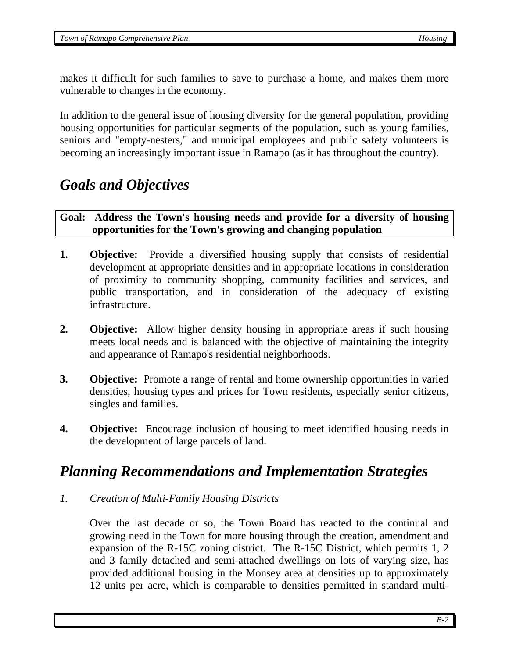makes it difficult for such families to save to purchase a home, and makes them more vulnerable to changes in the economy.

In addition to the general issue of housing diversity for the general population, providing housing opportunities for particular segments of the population, such as young families, seniors and "empty-nesters," and municipal employees and public safety volunteers is becoming an increasingly important issue in Ramapo (as it has throughout the country).

## *Goals and Objectives*

**Goal: Address the Town's housing needs and provide for a diversity of housing opportunities for the Town's growing and changing population** 

- **1. Objective:** Provide a diversified housing supply that consists of residential development at appropriate densities and in appropriate locations in consideration of proximity to community shopping, community facilities and services, and public transportation, and in consideration of the adequacy of existing infrastructure.
- **2. Objective:** Allow higher density housing in appropriate areas if such housing meets local needs and is balanced with the objective of maintaining the integrity and appearance of Ramapo's residential neighborhoods.
- **3. Objective:** Promote a range of rental and home ownership opportunities in varied densities, housing types and prices for Town residents, especially senior citizens, singles and families.
- **4. Objective:** Encourage inclusion of housing to meet identified housing needs in the development of large parcels of land.

## *Planning Recommendations and Implementation Strategies*

*1. Creation of Multi-Family Housing Districts* 

 Over the last decade or so, the Town Board has reacted to the continual and growing need in the Town for more housing through the creation, amendment and expansion of the R-15C zoning district. The R-15C District, which permits 1, 2 and 3 family detached and semi-attached dwellings on lots of varying size, has provided additional housing in the Monsey area at densities up to approximately 12 units per acre, which is comparable to densities permitted in standard multi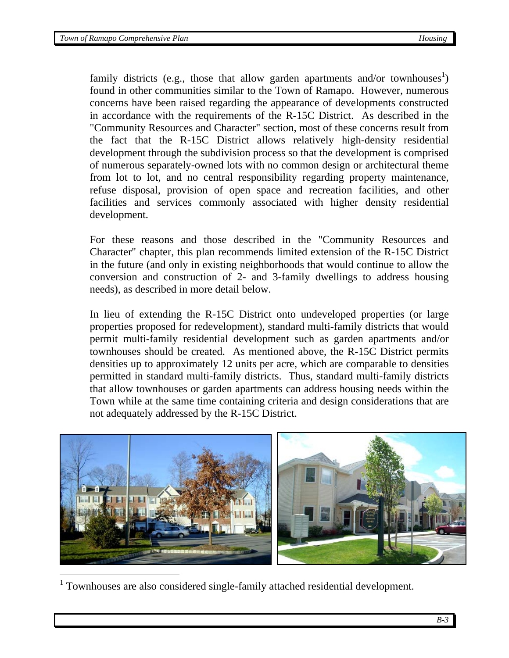family districts (e.g., those that allow garden apartments and/or townhouses<sup>1</sup>) found in other communities similar to the Town of Ramapo. However, numerous concerns have been raised regarding the appearance of developments constructed in accordance with the requirements of the R-15C District. As described in the "Community Resources and Character" section, most of these concerns result from the fact that the R-15C District allows relatively high-density residential development through the subdivision process so that the development is comprised of numerous separately-owned lots with no common design or architectural theme from lot to lot, and no central responsibility regarding property maintenance, refuse disposal, provision of open space and recreation facilities, and other facilities and services commonly associated with higher density residential development.

For these reasons and those described in the "Community Resources and Character" chapter, this plan recommends limited extension of the R-15C District in the future (and only in existing neighborhoods that would continue to allow the conversion and construction of 2- and 3-family dwellings to address housing needs), as described in more detail below.

In lieu of extending the R-15C District onto undeveloped properties (or large properties proposed for redevelopment), standard multi-family districts that would permit multi-family residential development such as garden apartments and/or townhouses should be created. As mentioned above, the R-15C District permits densities up to approximately 12 units per acre, which are comparable to densities permitted in standard multi-family districts. Thus, standard multi-family districts that allow townhouses or garden apartments can address housing needs within the Town while at the same time containing criteria and design considerations that are not adequately addressed by the R-15C District.



<sup>1</sup> Townhouses are also considered single-family attached residential development.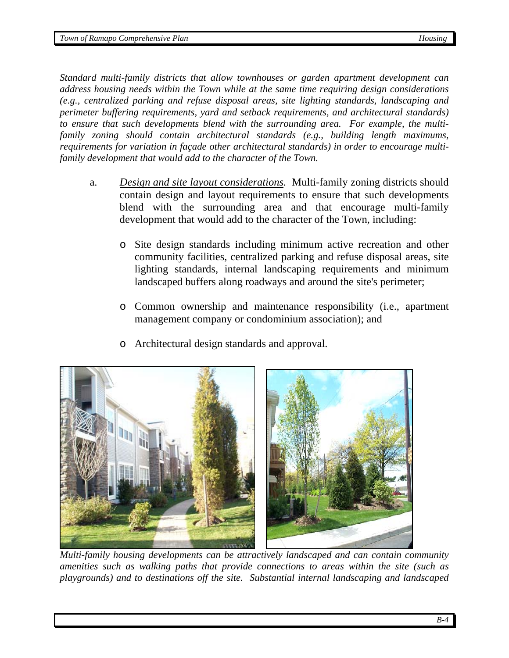*Standard multi-family districts that allow townhouses or garden apartment development can address housing needs within the Town while at the same time requiring design considerations (e.g., centralized parking and refuse disposal areas, site lighting standards, landscaping and perimeter buffering requirements, yard and setback requirements, and architectural standards) to ensure that such developments blend with the surrounding area. For example, the multifamily zoning should contain architectural standards (e.g., building length maximums, requirements for variation in façade other architectural standards) in order to encourage multifamily development that would add to the character of the Town.* 

- a. *Design and site layout considerations.* Multi-family zoning districts should contain design and layout requirements to ensure that such developments blend with the surrounding area and that encourage multi-family development that would add to the character of the Town, including:
	- o Site design standards including minimum active recreation and other community facilities, centralized parking and refuse disposal areas, site lighting standards, internal landscaping requirements and minimum landscaped buffers along roadways and around the site's perimeter;
	- o Common ownership and maintenance responsibility (i.e., apartment management company or condominium association); and
	- o Architectural design standards and approval.



 *Multi-family housing developments can be attractively landscaped and can contain community amenities such as walking paths that provide connections to areas within the site (such as playgrounds) and to destinations off the site. Substantial internal landscaping and landscaped*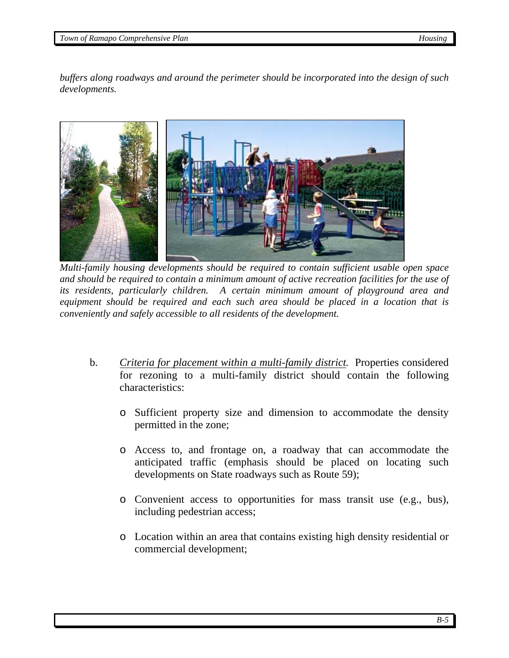*buffers along roadways and around the perimeter should be incorporated into the design of such developments.*



 *Multi-family housing developments should be required to contain sufficient usable open space and should be required to contain a minimum amount of active recreation facilities for the use of its residents, particularly children. A certain minimum amount of playground area and equipment should be required and each such area should be placed in a location that is conveniently and safely accessible to all residents of the development.* 

- b. *Criteria for placement within a multi-family district.* Properties considered for rezoning to a multi-family district should contain the following characteristics:
	- o Sufficient property size and dimension to accommodate the density permitted in the zone;
	- o Access to, and frontage on, a roadway that can accommodate the anticipated traffic (emphasis should be placed on locating such developments on State roadways such as Route 59);
	- o Convenient access to opportunities for mass transit use (e.g., bus), including pedestrian access;
	- o Location within an area that contains existing high density residential or commercial development;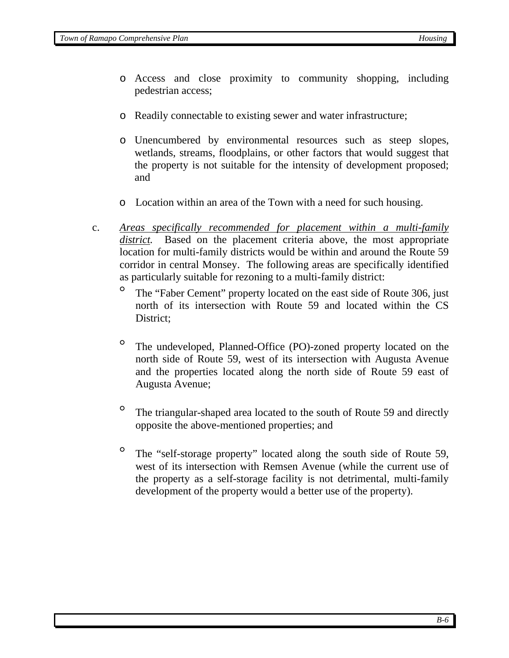- o Access and close proximity to community shopping, including pedestrian access;
- o Readily connectable to existing sewer and water infrastructure;
- o Unencumbered by environmental resources such as steep slopes, wetlands, streams, floodplains, or other factors that would suggest that the property is not suitable for the intensity of development proposed; and
- o Location within an area of the Town with a need for such housing.
- c. *Areas specifically recommended for placement within a multi-family district.* Based on the placement criteria above, the most appropriate location for multi-family districts would be within and around the Route 59 corridor in central Monsey. The following areas are specifically identified as particularly suitable for rezoning to a multi-family district:
	- The "Faber Cement" property located on the east side of Route 306, just north of its intersection with Route 59 and located within the CS District:
	- ° The undeveloped, Planned-Office (PO)-zoned property located on the north side of Route 59, west of its intersection with Augusta Avenue and the properties located along the north side of Route 59 east of Augusta Avenue;
	- ° The triangular-shaped area located to the south of Route 59 and directly opposite the above-mentioned properties; and
	- ° The "self-storage property" located along the south side of Route 59, west of its intersection with Remsen Avenue (while the current use of the property as a self-storage facility is not detrimental, multi-family development of the property would a better use of the property).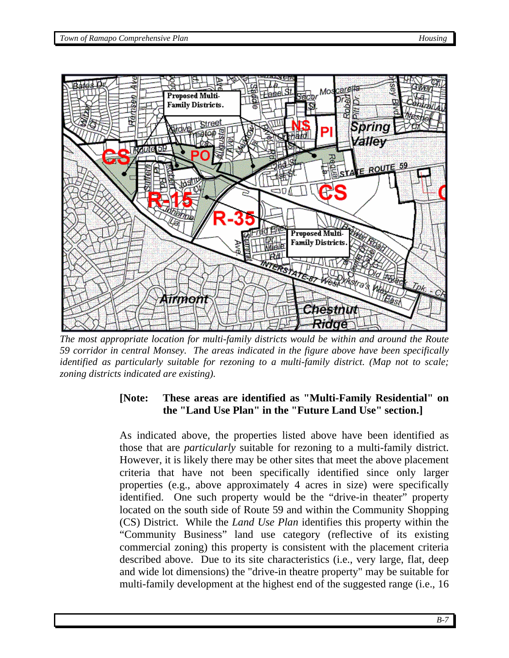

*The most appropriate location for multi-family districts would be within and around the Route 59 corridor in central Monsey. The areas indicated in the figure above have been specifically identified as particularly suitable for rezoning to a multi-family district. (Map not to scale; zoning districts indicated are existing).* 

## **[Note: These areas are identified as "Multi-Family Residential" on the "Land Use Plan" in the "Future Land Use" section.]**

As indicated above, the properties listed above have been identified as those that are *particularly* suitable for rezoning to a multi-family district. However, it is likely there may be other sites that meet the above placement criteria that have not been specifically identified since only larger properties (e.g., above approximately 4 acres in size) were specifically identified. One such property would be the "drive-in theater" property located on the south side of Route 59 and within the Community Shopping (CS) District. While the *Land Use Plan* identifies this property within the "Community Business" land use category (reflective of its existing commercial zoning) this property is consistent with the placement criteria described above. Due to its site characteristics (i.e., very large, flat, deep and wide lot dimensions) the "drive-in theatre property" may be suitable for multi-family development at the highest end of the suggested range (i.e., 16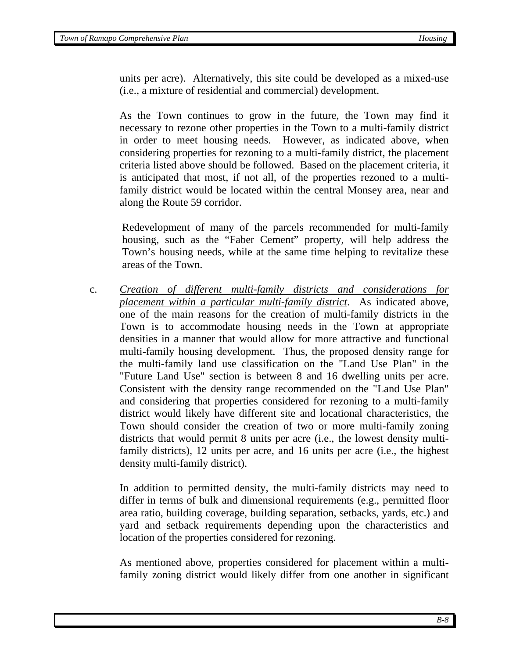units per acre). Alternatively, this site could be developed as a mixed-use (i.e., a mixture of residential and commercial) development.

As the Town continues to grow in the future, the Town may find it necessary to rezone other properties in the Town to a multi-family district in order to meet housing needs. However, as indicated above, when considering properties for rezoning to a multi-family district, the placement criteria listed above should be followed. Based on the placement criteria, it is anticipated that most, if not all, of the properties rezoned to a multifamily district would be located within the central Monsey area, near and along the Route 59 corridor.

 Redevelopment of many of the parcels recommended for multi-family housing, such as the "Faber Cement" property, will help address the Town's housing needs, while at the same time helping to revitalize these areas of the Town.

c. *Creation of different multi-family districts and considerations for placement within a particular multi-family district*. As indicated above, one of the main reasons for the creation of multi-family districts in the Town is to accommodate housing needs in the Town at appropriate densities in a manner that would allow for more attractive and functional multi-family housing development. Thus, the proposed density range for the multi-family land use classification on the "Land Use Plan" in the "Future Land Use" section is between 8 and 16 dwelling units per acre. Consistent with the density range recommended on the "Land Use Plan" and considering that properties considered for rezoning to a multi-family district would likely have different site and locational characteristics, the Town should consider the creation of two or more multi-family zoning districts that would permit 8 units per acre (i.e., the lowest density multifamily districts), 12 units per acre, and 16 units per acre (i.e., the highest density multi-family district).

In addition to permitted density, the multi-family districts may need to differ in terms of bulk and dimensional requirements (e.g., permitted floor area ratio, building coverage, building separation, setbacks, yards, etc.) and yard and setback requirements depending upon the characteristics and location of the properties considered for rezoning.

As mentioned above, properties considered for placement within a multifamily zoning district would likely differ from one another in significant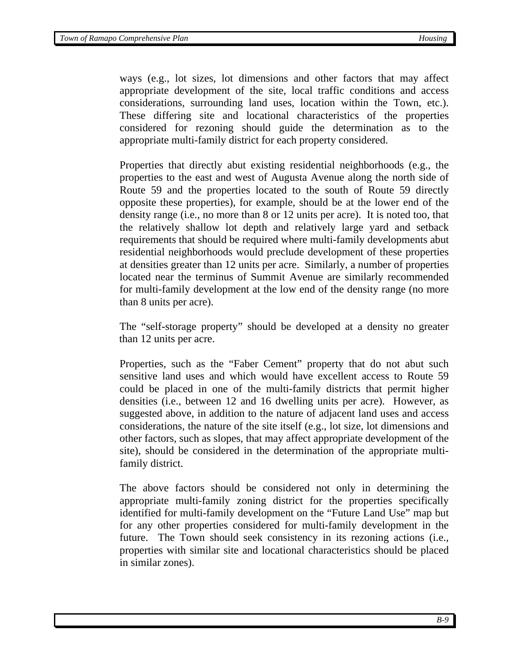ways (e.g., lot sizes, lot dimensions and other factors that may affect appropriate development of the site, local traffic conditions and access considerations, surrounding land uses, location within the Town, etc.). These differing site and locational characteristics of the properties considered for rezoning should guide the determination as to the appropriate multi-family district for each property considered.

Properties that directly abut existing residential neighborhoods (e.g., the properties to the east and west of Augusta Avenue along the north side of Route 59 and the properties located to the south of Route 59 directly opposite these properties), for example, should be at the lower end of the density range (i.e., no more than 8 or 12 units per acre). It is noted too, that the relatively shallow lot depth and relatively large yard and setback requirements that should be required where multi-family developments abut residential neighborhoods would preclude development of these properties at densities greater than 12 units per acre. Similarly, a number of properties located near the terminus of Summit Avenue are similarly recommended for multi-family development at the low end of the density range (no more than 8 units per acre).

The "self-storage property" should be developed at a density no greater than 12 units per acre.

Properties, such as the "Faber Cement" property that do not abut such sensitive land uses and which would have excellent access to Route 59 could be placed in one of the multi-family districts that permit higher densities (i.e., between 12 and 16 dwelling units per acre). However, as suggested above, in addition to the nature of adjacent land uses and access considerations, the nature of the site itself (e.g., lot size, lot dimensions and other factors, such as slopes, that may affect appropriate development of the site), should be considered in the determination of the appropriate multifamily district.

The above factors should be considered not only in determining the appropriate multi-family zoning district for the properties specifically identified for multi-family development on the "Future Land Use" map but for any other properties considered for multi-family development in the future. The Town should seek consistency in its rezoning actions (i.e., properties with similar site and locational characteristics should be placed in similar zones).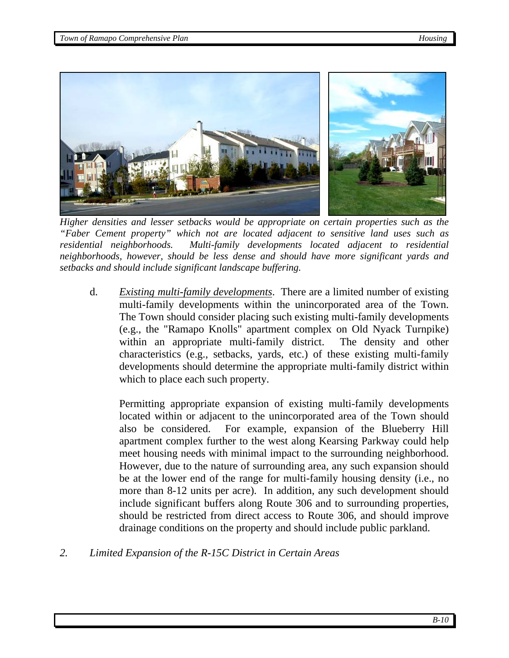

 *Higher densities and lesser setbacks would be appropriate on certain properties such as the "Faber Cement property" which not are located adjacent to sensitive land uses such as residential neighborhoods. Multi-family developments located adjacent to residential neighborhoods, however, should be less dense and should have more significant yards and setbacks and should include significant landscape buffering.* 

d. *Existing multi-family developments*. There are a limited number of existing multi-family developments within the unincorporated area of the Town. The Town should consider placing such existing multi-family developments (e.g., the "Ramapo Knolls" apartment complex on Old Nyack Turnpike) within an appropriate multi-family district. The density and other characteristics (e.g., setbacks, yards, etc.) of these existing multi-family developments should determine the appropriate multi-family district within which to place each such property.

Permitting appropriate expansion of existing multi-family developments located within or adjacent to the unincorporated area of the Town should also be considered. For example, expansion of the Blueberry Hill apartment complex further to the west along Kearsing Parkway could help meet housing needs with minimal impact to the surrounding neighborhood. However, due to the nature of surrounding area, any such expansion should be at the lower end of the range for multi-family housing density (i.e., no more than 8-12 units per acre). In addition, any such development should include significant buffers along Route 306 and to surrounding properties, should be restricted from direct access to Route 306, and should improve drainage conditions on the property and should include public parkland.

*2. Limited Expansion of the R-15C District in Certain Areas*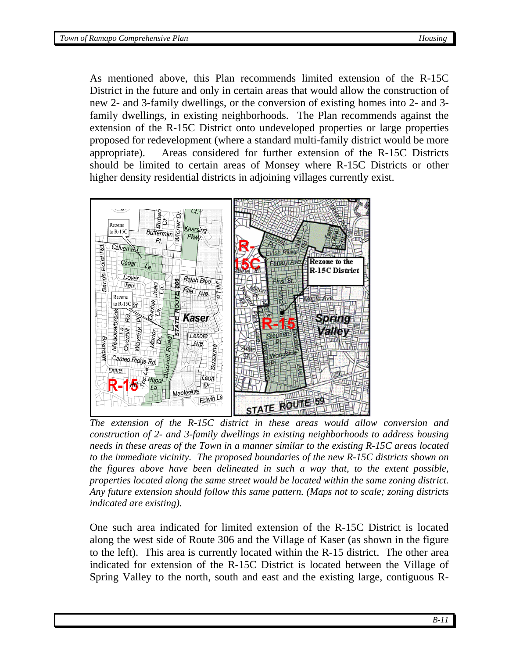As mentioned above, this Plan recommends limited extension of the R-15C District in the future and only in certain areas that would allow the construction of new 2- and 3-family dwellings, or the conversion of existing homes into 2- and 3 family dwellings, in existing neighborhoods. The Plan recommends against the extension of the R-15C District onto undeveloped properties or large properties proposed for redevelopment (where a standard multi-family district would be more appropriate). Areas considered for further extension of the R-15C Districts should be limited to certain areas of Monsey where R-15C Districts or other higher density residential districts in adjoining villages currently exist.



*The extension of the R-15C district in these areas would allow conversion and construction of 2- and 3-family dwellings in existing neighborhoods to address housing needs in these areas of the Town in a manner similar to the existing R-15C areas located to the immediate vicinity. The proposed boundaries of the new R-15C districts shown on the figures above have been delineated in such a way that, to the extent possible, properties located along the same street would be located within the same zoning district. Any future extension should follow this same pattern. (Maps not to scale; zoning districts indicated are existing).* 

One such area indicated for limited extension of the R-15C District is located along the west side of Route 306 and the Village of Kaser (as shown in the figure to the left). This area is currently located within the R-15 district. The other area indicated for extension of the R-15C District is located between the Village of Spring Valley to the north, south and east and the existing large, contiguous R-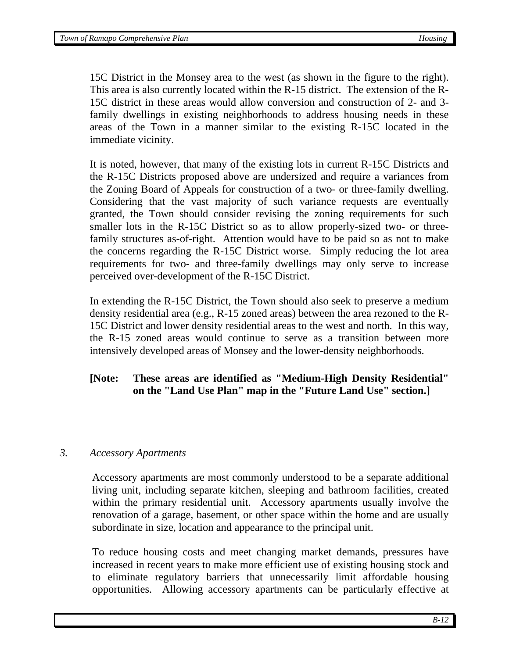15C District in the Monsey area to the west (as shown in the figure to the right). This area is also currently located within the R-15 district. The extension of the R-15C district in these areas would allow conversion and construction of 2- and 3 family dwellings in existing neighborhoods to address housing needs in these areas of the Town in a manner similar to the existing R-15C located in the immediate vicinity.

It is noted, however, that many of the existing lots in current R-15C Districts and the R-15C Districts proposed above are undersized and require a variances from the Zoning Board of Appeals for construction of a two- or three-family dwelling. Considering that the vast majority of such variance requests are eventually granted, the Town should consider revising the zoning requirements for such smaller lots in the R-15C District so as to allow properly-sized two- or threefamily structures as-of-right. Attention would have to be paid so as not to make the concerns regarding the R-15C District worse. Simply reducing the lot area requirements for two- and three-family dwellings may only serve to increase perceived over-development of the R-15C District.

In extending the R-15C District, the Town should also seek to preserve a medium density residential area (e.g., R-15 zoned areas) between the area rezoned to the R-15C District and lower density residential areas to the west and north. In this way, the R-15 zoned areas would continue to serve as a transition between more intensively developed areas of Monsey and the lower-density neighborhoods.

## **[Note: These areas are identified as "Medium-High Density Residential" on the "Land Use Plan" map in the "Future Land Use" section.]**

#### *3. Accessory Apartments*

Accessory apartments are most commonly understood to be a separate additional living unit, including separate kitchen, sleeping and bathroom facilities, created within the primary residential unit. Accessory apartments usually involve the renovation of a garage, basement, or other space within the home and are usually subordinate in size, location and appearance to the principal unit.

To reduce housing costs and meet changing market demands, pressures have increased in recent years to make more efficient use of existing housing stock and to eliminate regulatory barriers that unnecessarily limit affordable housing opportunities. Allowing accessory apartments can be particularly effective at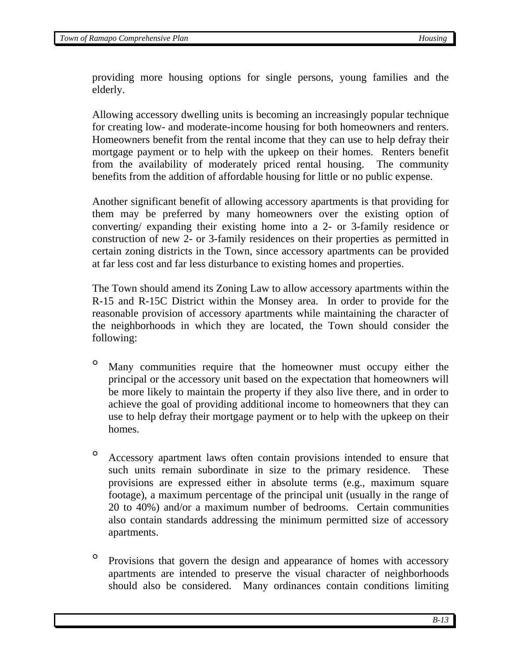providing more housing options for single persons, young families and the elderly.

Allowing accessory dwelling units is becoming an increasingly popular technique for creating low- and moderate-income housing for both homeowners and renters. Homeowners benefit from the rental income that they can use to help defray their mortgage payment or to help with the upkeep on their homes. Renters benefit from the availability of moderately priced rental housing. The community benefits from the addition of affordable housing for little or no public expense.

Another significant benefit of allowing accessory apartments is that providing for them may be preferred by many homeowners over the existing option of converting/ expanding their existing home into a 2- or 3-family residence or construction of new 2- or 3-family residences on their properties as permitted in certain zoning districts in the Town, since accessory apartments can be provided at far less cost and far less disturbance to existing homes and properties.

The Town should amend its Zoning Law to allow accessory apartments within the R-15 and R-15C District within the Monsey area. In order to provide for the reasonable provision of accessory apartments while maintaining the character of the neighborhoods in which they are located, the Town should consider the following:

- Many communities require that the homeowner must occupy either the principal or the accessory unit based on the expectation that homeowners will be more likely to maintain the property if they also live there, and in order to achieve the goal of providing additional income to homeowners that they can use to help defray their mortgage payment or to help with the upkeep on their homes.
- ° Accessory apartment laws often contain provisions intended to ensure that such units remain subordinate in size to the primary residence. These provisions are expressed either in absolute terms (e.g., maximum square footage), a maximum percentage of the principal unit (usually in the range of 20 to 40%) and/or a maximum number of bedrooms. Certain communities also contain standards addressing the minimum permitted size of accessory apartments.
- ° Provisions that govern the design and appearance of homes with accessory apartments are intended to preserve the visual character of neighborhoods should also be considered. Many ordinances contain conditions limiting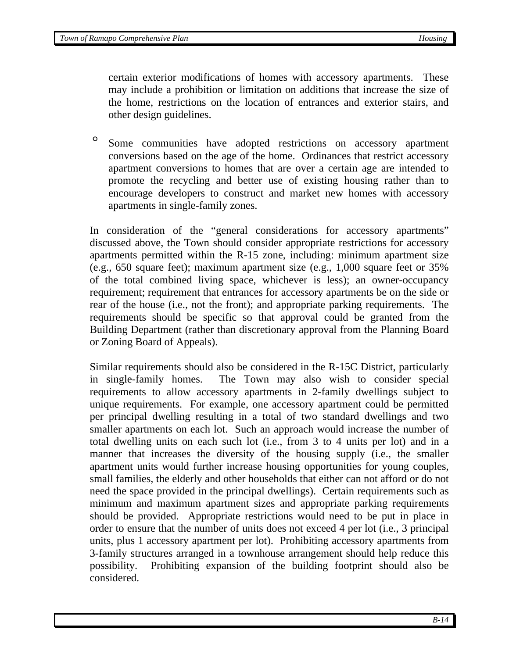certain exterior modifications of homes with accessory apartments. These may include a prohibition or limitation on additions that increase the size of the home, restrictions on the location of entrances and exterior stairs, and other design guidelines.

° Some communities have adopted restrictions on accessory apartment conversions based on the age of the home. Ordinances that restrict accessory apartment conversions to homes that are over a certain age are intended to promote the recycling and better use of existing housing rather than to encourage developers to construct and market new homes with accessory apartments in single-family zones.

In consideration of the "general considerations for accessory apartments" discussed above, the Town should consider appropriate restrictions for accessory apartments permitted within the R-15 zone, including: minimum apartment size (e.g., 650 square feet); maximum apartment size (e.g., 1,000 square feet or 35% of the total combined living space, whichever is less); an owner-occupancy requirement; requirement that entrances for accessory apartments be on the side or rear of the house (i.e., not the front); and appropriate parking requirements. The requirements should be specific so that approval could be granted from the Building Department (rather than discretionary approval from the Planning Board or Zoning Board of Appeals).

Similar requirements should also be considered in the R-15C District, particularly in single-family homes. The Town may also wish to consider special requirements to allow accessory apartments in 2-family dwellings subject to unique requirements. For example, one accessory apartment could be permitted per principal dwelling resulting in a total of two standard dwellings and two smaller apartments on each lot. Such an approach would increase the number of total dwelling units on each such lot (i.e., from 3 to 4 units per lot) and in a manner that increases the diversity of the housing supply (i.e., the smaller apartment units would further increase housing opportunities for young couples, small families, the elderly and other households that either can not afford or do not need the space provided in the principal dwellings). Certain requirements such as minimum and maximum apartment sizes and appropriate parking requirements should be provided. Appropriate restrictions would need to be put in place in order to ensure that the number of units does not exceed 4 per lot (i.e., 3 principal units, plus 1 accessory apartment per lot). Prohibiting accessory apartments from 3-family structures arranged in a townhouse arrangement should help reduce this possibility. Prohibiting expansion of the building footprint should also be considered.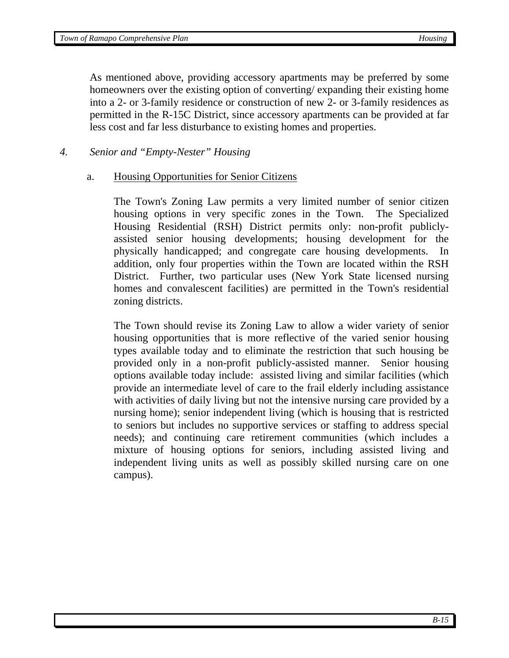As mentioned above, providing accessory apartments may be preferred by some homeowners over the existing option of converting/ expanding their existing home into a 2- or 3-family residence or construction of new 2- or 3-family residences as permitted in the R-15C District, since accessory apartments can be provided at far less cost and far less disturbance to existing homes and properties.

#### *4. Senior and "Empty-Nester" Housing*

#### a. Housing Opportunities for Senior Citizens

The Town's Zoning Law permits a very limited number of senior citizen housing options in very specific zones in the Town. The Specialized Housing Residential (RSH) District permits only: non-profit publiclyassisted senior housing developments; housing development for the physically handicapped; and congregate care housing developments. In addition, only four properties within the Town are located within the RSH District. Further, two particular uses (New York State licensed nursing homes and convalescent facilities) are permitted in the Town's residential zoning districts.

The Town should revise its Zoning Law to allow a wider variety of senior housing opportunities that is more reflective of the varied senior housing types available today and to eliminate the restriction that such housing be provided only in a non-profit publicly-assisted manner. Senior housing options available today include: assisted living and similar facilities (which provide an intermediate level of care to the frail elderly including assistance with activities of daily living but not the intensive nursing care provided by a nursing home); senior independent living (which is housing that is restricted to seniors but includes no supportive services or staffing to address special needs); and continuing care retirement communities (which includes a mixture of housing options for seniors, including assisted living and independent living units as well as possibly skilled nursing care on one campus).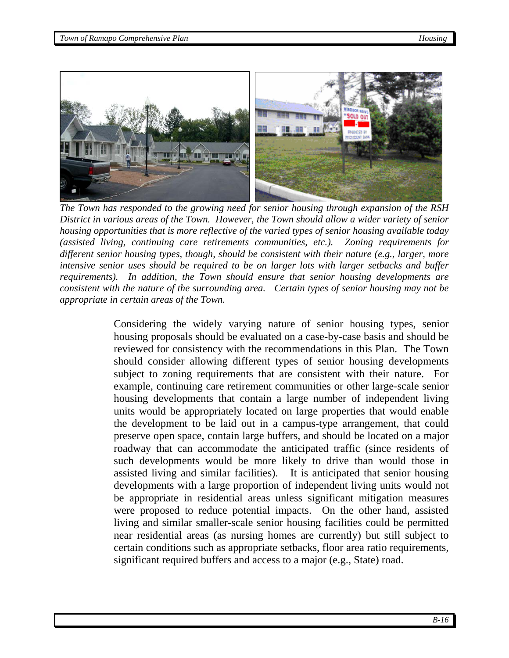

 *The Town has responded to the growing need for senior housing through expansion of the RSH District in various areas of the Town. However, the Town should allow a wider variety of senior housing opportunities that is more reflective of the varied types of senior housing available today (assisted living, continuing care retirements communities, etc.). Zoning requirements for different senior housing types, though, should be consistent with their nature (e.g., larger, more intensive senior uses should be required to be on larger lots with larger setbacks and buffer requirements). In addition, the Town should ensure that senior housing developments are consistent with the nature of the surrounding area. Certain types of senior housing may not be appropriate in certain areas of the Town.* 

Considering the widely varying nature of senior housing types, senior housing proposals should be evaluated on a case-by-case basis and should be reviewed for consistency with the recommendations in this Plan. The Town should consider allowing different types of senior housing developments subject to zoning requirements that are consistent with their nature. For example, continuing care retirement communities or other large-scale senior housing developments that contain a large number of independent living units would be appropriately located on large properties that would enable the development to be laid out in a campus-type arrangement, that could preserve open space, contain large buffers, and should be located on a major roadway that can accommodate the anticipated traffic (since residents of such developments would be more likely to drive than would those in assisted living and similar facilities). It is anticipated that senior housing developments with a large proportion of independent living units would not be appropriate in residential areas unless significant mitigation measures were proposed to reduce potential impacts. On the other hand, assisted living and similar smaller-scale senior housing facilities could be permitted near residential areas (as nursing homes are currently) but still subject to certain conditions such as appropriate setbacks, floor area ratio requirements, significant required buffers and access to a major (e.g., State) road.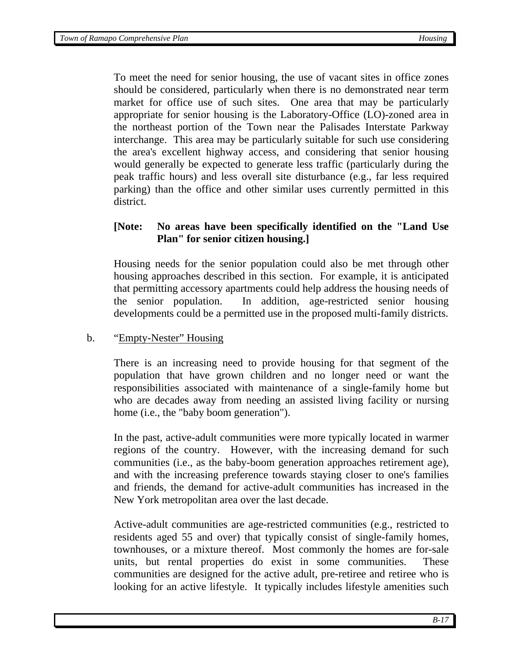To meet the need for senior housing, the use of vacant sites in office zones should be considered, particularly when there is no demonstrated near term market for office use of such sites. One area that may be particularly appropriate for senior housing is the Laboratory-Office (LO)-zoned area in the northeast portion of the Town near the Palisades Interstate Parkway interchange. This area may be particularly suitable for such use considering the area's excellent highway access, and considering that senior housing would generally be expected to generate less traffic (particularly during the peak traffic hours) and less overall site disturbance (e.g., far less required parking) than the office and other similar uses currently permitted in this district.

## **[Note: No areas have been specifically identified on the "Land Use Plan" for senior citizen housing.]**

Housing needs for the senior population could also be met through other housing approaches described in this section. For example, it is anticipated that permitting accessory apartments could help address the housing needs of the senior population. In addition, age-restricted senior housing developments could be a permitted use in the proposed multi-family districts.

#### b. "Empty-Nester" Housing

 There is an increasing need to provide housing for that segment of the population that have grown children and no longer need or want the responsibilities associated with maintenance of a single-family home but who are decades away from needing an assisted living facility or nursing home (i.e., the "baby boom generation").

 In the past, active-adult communities were more typically located in warmer regions of the country. However, with the increasing demand for such communities (i.e., as the baby-boom generation approaches retirement age), and with the increasing preference towards staying closer to one's families and friends, the demand for active-adult communities has increased in the New York metropolitan area over the last decade.

 Active-adult communities are age-restricted communities (e.g., restricted to residents aged 55 and over) that typically consist of single-family homes, townhouses, or a mixture thereof. Most commonly the homes are for-sale units, but rental properties do exist in some communities. These communities are designed for the active adult, pre-retiree and retiree who is looking for an active lifestyle. It typically includes lifestyle amenities such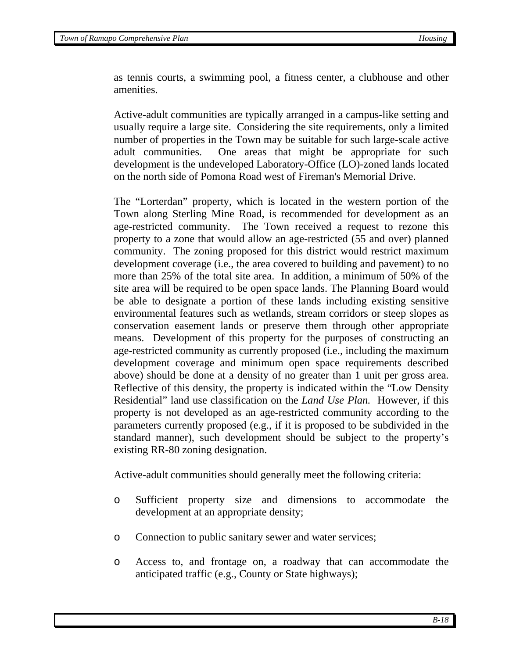as tennis courts, a swimming pool, a fitness center, a clubhouse and other amenities.

 Active-adult communities are typically arranged in a campus-like setting and usually require a large site. Considering the site requirements, only a limited number of properties in the Town may be suitable for such large-scale active adult communities. One areas that might be appropriate for such development is the undeveloped Laboratory-Office (LO)-zoned lands located on the north side of Pomona Road west of Fireman's Memorial Drive.

The "Lorterdan" property, which is located in the western portion of the Town along Sterling Mine Road, is recommended for development as an age-restricted community. The Town received a request to rezone this property to a zone that would allow an age-restricted (55 and over) planned community. The zoning proposed for this district would restrict maximum development coverage (i.e., the area covered to building and pavement) to no more than 25% of the total site area. In addition, a minimum of 50% of the site area will be required to be open space lands. The Planning Board would be able to designate a portion of these lands including existing sensitive environmental features such as wetlands, stream corridors or steep slopes as conservation easement lands or preserve them through other appropriate means. Development of this property for the purposes of constructing an age-restricted community as currently proposed (i.e., including the maximum development coverage and minimum open space requirements described above) should be done at a density of no greater than 1 unit per gross area. Reflective of this density, the property is indicated within the "Low Density Residential" land use classification on the *Land Use Plan.* However, if this property is not developed as an age-restricted community according to the parameters currently proposed (e.g., if it is proposed to be subdivided in the standard manner), such development should be subject to the property's existing RR-80 zoning designation.

Active-adult communities should generally meet the following criteria:

- o Sufficient property size and dimensions to accommodate the development at an appropriate density;
- o Connection to public sanitary sewer and water services;
- o Access to, and frontage on, a roadway that can accommodate the anticipated traffic (e.g., County or State highways);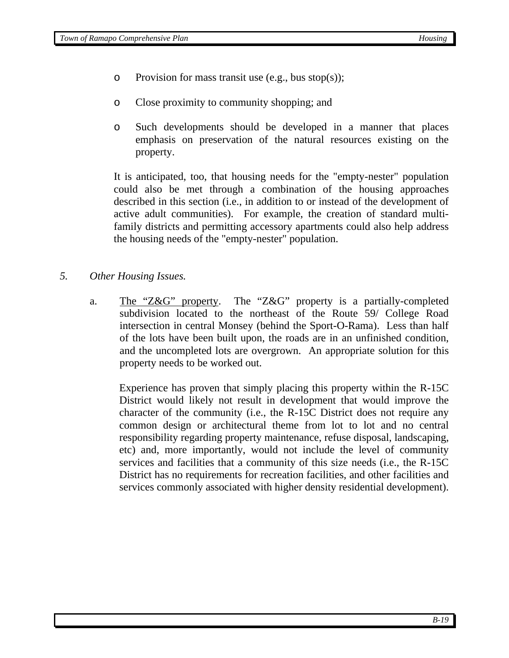- o Provision for mass transit use  $(e.g., bus stop(s))$ ;
- o Close proximity to community shopping; and
- o Such developments should be developed in a manner that places emphasis on preservation of the natural resources existing on the property.

It is anticipated, too, that housing needs for the "empty-nester" population could also be met through a combination of the housing approaches described in this section (i.e., in addition to or instead of the development of active adult communities). For example, the creation of standard multifamily districts and permitting accessory apartments could also help address the housing needs of the "empty-nester" population.

- *5. Other Housing Issues.* 
	- a. The "Z&G" property. The "Z&G" property is a partially-completed subdivision located to the northeast of the Route 59/ College Road intersection in central Monsey (behind the Sport-O-Rama). Less than half of the lots have been built upon, the roads are in an unfinished condition, and the uncompleted lots are overgrown. An appropriate solution for this property needs to be worked out.

Experience has proven that simply placing this property within the R-15C District would likely not result in development that would improve the character of the community (i.e., the R-15C District does not require any common design or architectural theme from lot to lot and no central responsibility regarding property maintenance, refuse disposal, landscaping, etc) and, more importantly, would not include the level of community services and facilities that a community of this size needs (i.e., the R-15C District has no requirements for recreation facilities, and other facilities and services commonly associated with higher density residential development).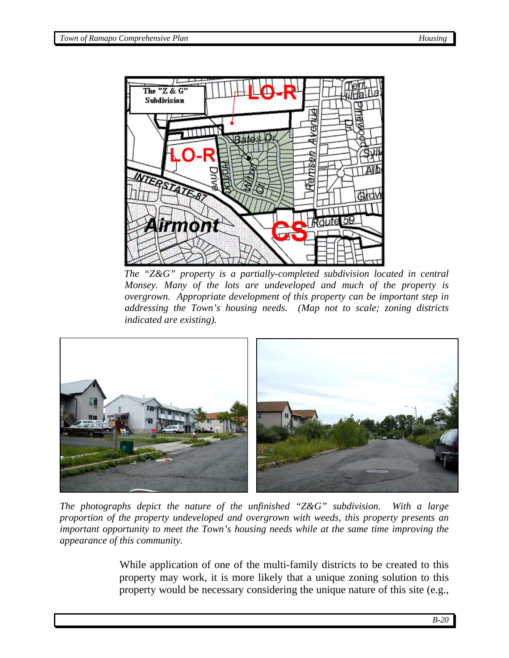

*The "Z&G" property is a partially-completed subdivision located in central Monsey. Many of the lots are undeveloped and much of the property is overgrown. Appropriate development of this property can be important step in addressing the Town's housing needs. (Map not to scale; zoning districts indicated are existing).* 



*The photographs depict the nature of the unfinished "Z&G" subdivision. With a large proportion of the property undeveloped and overgrown with weeds, this property presents an important opportunity to meet the Town's housing needs while at the same time improving the appearance of this community.* 

While application of one of the multi-family districts to be created to this property may work, it is more likely that a unique zoning solution to this property would be necessary considering the unique nature of this site (e.g.,